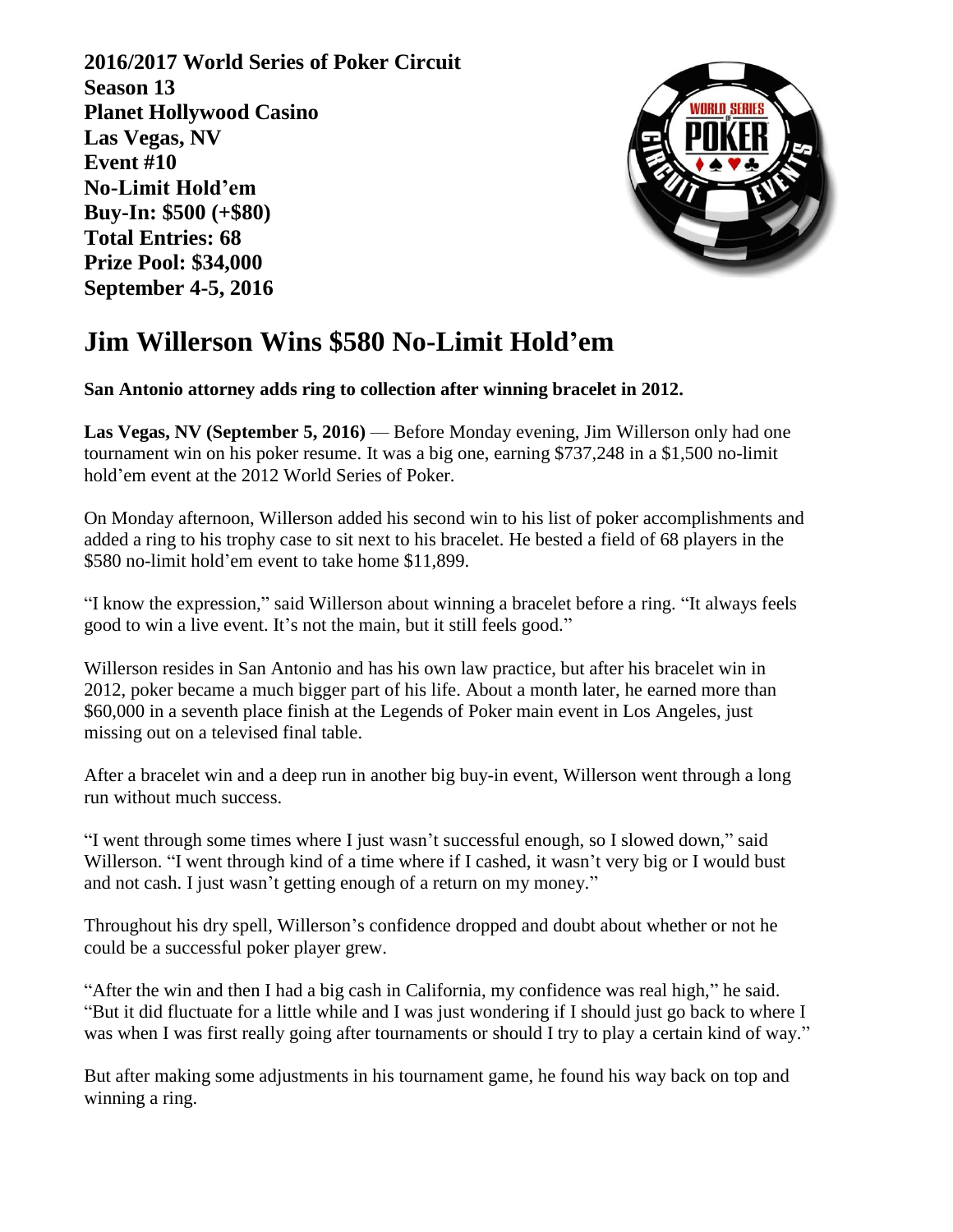**2016/2017 World Series of Poker Circuit Season 13 Planet Hollywood Casino Las Vegas, NV Event #10 No-Limit Hold'em Buy-In: \$500 (+\$80) Total Entries: 68 Prize Pool: \$34,000 September 4-5, 2016** 



## **Jim Willerson Wins \$580 No-Limit Hold'em**

**San Antonio attorney adds ring to collection after winning bracelet in 2012.** 

**Las Vegas, NV (September 5, 2016)** — Before Monday evening, Jim Willerson only had one tournament win on his poker resume. It was a big one, earning \$737,248 in a \$1,500 no-limit hold'em event at the 2012 World Series of Poker.

On Monday afternoon, Willerson added his second win to his list of poker accomplishments and added a ring to his trophy case to sit next to his bracelet. He bested a field of 68 players in the \$580 no-limit hold'em event to take home \$11,899.

"I know the expression," said Willerson about winning a bracelet before a ring. "It always feels good to win a live event. It's not the main, but it still feels good."

Willerson resides in San Antonio and has his own law practice, but after his bracelet win in 2012, poker became a much bigger part of his life. About a month later, he earned more than \$60,000 in a seventh place finish at the Legends of Poker main event in Los Angeles, just missing out on a televised final table.

After a bracelet win and a deep run in another big buy-in event, Willerson went through a long run without much success.

"I went through some times where I just wasn't successful enough, so I slowed down," said Willerson. "I went through kind of a time where if I cashed, it wasn't very big or I would bust and not cash. I just wasn't getting enough of a return on my money."

Throughout his dry spell, Willerson's confidence dropped and doubt about whether or not he could be a successful poker player grew.

"After the win and then I had a big cash in California, my confidence was real high," he said. "But it did fluctuate for a little while and I was just wondering if I should just go back to where I was when I was first really going after tournaments or should I try to play a certain kind of way."

But after making some adjustments in his tournament game, he found his way back on top and winning a ring.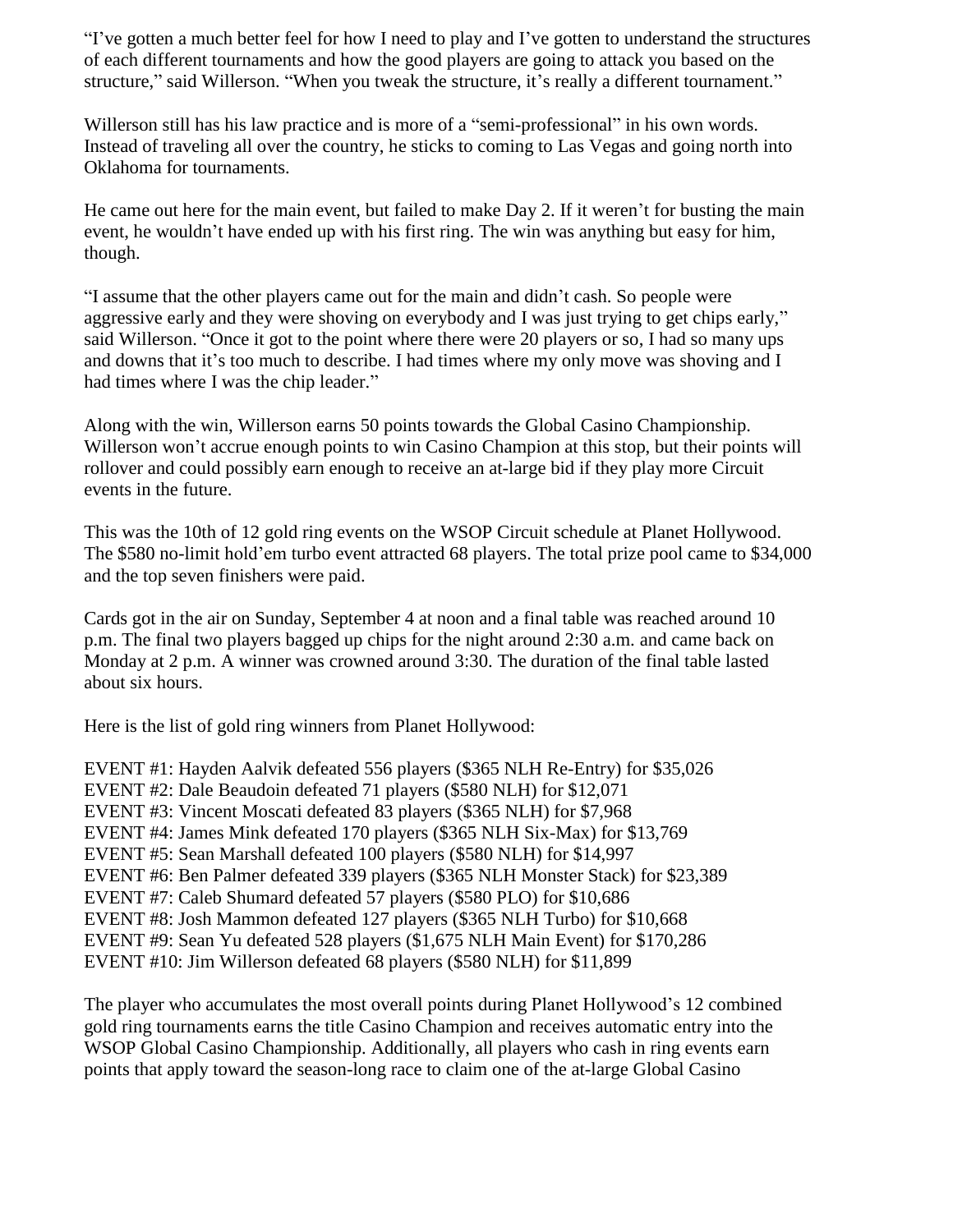"I've gotten a much better feel for how I need to play and I've gotten to understand the structures of each different tournaments and how the good players are going to attack you based on the structure," said Willerson. "When you tweak the structure, it's really a different tournament."

Willerson still has his law practice and is more of a "semi-professional" in his own words. Instead of traveling all over the country, he sticks to coming to Las Vegas and going north into Oklahoma for tournaments.

He came out here for the main event, but failed to make Day 2. If it weren't for busting the main event, he wouldn't have ended up with his first ring. The win was anything but easy for him, though.

"I assume that the other players came out for the main and didn't cash. So people were aggressive early and they were shoving on everybody and I was just trying to get chips early," said Willerson. "Once it got to the point where there were 20 players or so, I had so many ups and downs that it's too much to describe. I had times where my only move was shoving and I had times where I was the chip leader."

Along with the win, Willerson earns 50 points towards the Global Casino Championship. Willerson won't accrue enough points to win Casino Champion at this stop, but their points will rollover and could possibly earn enough to receive an at-large bid if they play more Circuit events in the future.

This was the 10th of 12 gold ring events on the WSOP Circuit schedule at Planet Hollywood. The \$580 no-limit hold'em turbo event attracted 68 players. The total prize pool came to \$34,000 and the top seven finishers were paid.

Cards got in the air on Sunday, September 4 at noon and a final table was reached around 10 p.m. The final two players bagged up chips for the night around 2:30 a.m. and came back on Monday at 2 p.m. A winner was crowned around 3:30. The duration of the final table lasted about six hours.

Here is the list of gold ring winners from Planet Hollywood:

EVENT #1: Hayden Aalvik defeated 556 players (\$365 NLH Re-Entry) for \$35,026 EVENT #2: Dale Beaudoin defeated 71 players (\$580 NLH) for \$12,071 EVENT #3: Vincent Moscati defeated 83 players (\$365 NLH) for \$7,968 EVENT #4: James Mink defeated 170 players (\$365 NLH Six-Max) for \$13,769 EVENT #5: Sean Marshall defeated 100 players (\$580 NLH) for \$14,997 EVENT #6: Ben Palmer defeated 339 players (\$365 NLH Monster Stack) for \$23,389 EVENT #7: Caleb Shumard defeated 57 players (\$580 PLO) for \$10,686 EVENT #8: Josh Mammon defeated 127 players (\$365 NLH Turbo) for \$10,668 EVENT #9: Sean Yu defeated 528 players (\$1,675 NLH Main Event) for \$170,286 EVENT #10: Jim Willerson defeated 68 players (\$580 NLH) for \$11,899

The player who accumulates the most overall points during Planet Hollywood's 12 combined gold ring tournaments earns the title Casino Champion and receives automatic entry into the WSOP Global Casino Championship. Additionally, all players who cash in ring events earn points that apply toward the season-long race to claim one of the at-large Global Casino